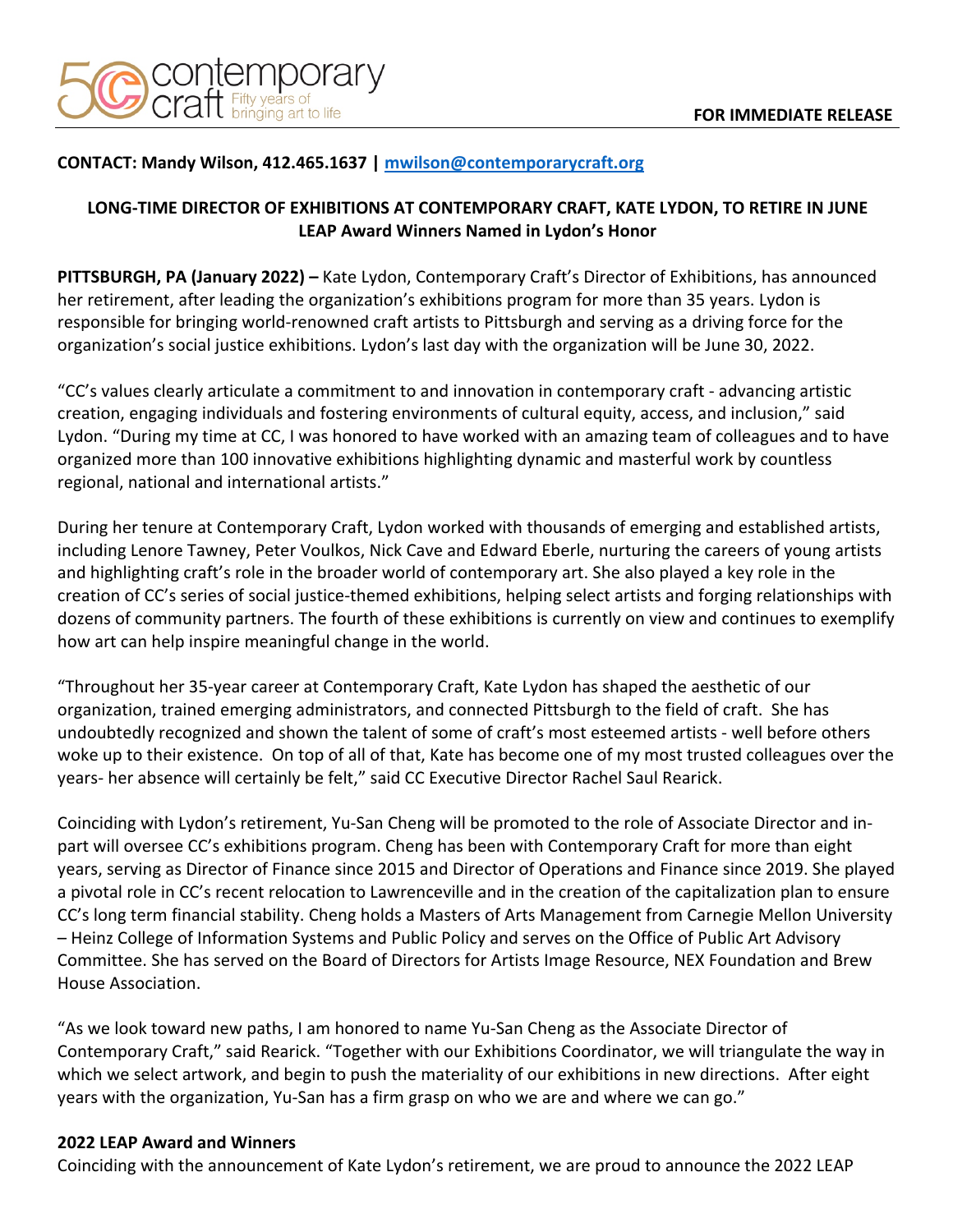

## **CONTACT: Mandy Wilson, 412.465.1637 | mwilson@contemporarycraft.org**

## **LONG-TIME DIRECTOR OF EXHIBITIONS AT CONTEMPORARY CRAFT, KATE LYDON, TO RETIRE IN JUNE LEAP Award Winners Named in Lydon's Honor**

**PITTSBURGH, PA (January 2022) –** Kate Lydon, Contemporary Craft's Director of Exhibitions, has announced her retirement, after leading the organization's exhibitions program for more than 35 years. Lydon is responsible for bringing world-renowned craft artists to Pittsburgh and serving as a driving force for the organization's social justice exhibitions. Lydon's last day with the organization will be June 30, 2022.

"CC's values clearly articulate a commitment to and innovation in contemporary craft - advancing artistic creation, engaging individuals and fostering environments of cultural equity, access, and inclusion," said Lydon. "During my time at CC, I was honored to have worked with an amazing team of colleagues and to have organized more than 100 innovative exhibitions highlighting dynamic and masterful work by countless regional, national and international artists."

During her tenure at Contemporary Craft, Lydon worked with thousands of emerging and established artists, including Lenore Tawney, Peter Voulkos, Nick Cave and Edward Eberle, nurturing the careers of young artists and highlighting craft's role in the broader world of contemporary art. She also played a key role in the creation of CC's series of social justice-themed exhibitions, helping select artists and forging relationships with dozens of community partners. The fourth of these exhibitions is currently on view and continues to exemplify how art can help inspire meaningful change in the world.

"Throughout her 35-year career at Contemporary Craft, Kate Lydon has shaped the aesthetic of our organization, trained emerging administrators, and connected Pittsburgh to the field of craft. She has undoubtedly recognized and shown the talent of some of craft's most esteemed artists - well before others woke up to their existence. On top of all of that, Kate has become one of my most trusted colleagues over the years- her absence will certainly be felt," said CC Executive Director Rachel Saul Rearick.

Coinciding with Lydon's retirement, Yu-San Cheng will be promoted to the role of Associate Director and inpart will oversee CC's exhibitions program. Cheng has been with Contemporary Craft for more than eight years, serving as Director of Finance since 2015 and Director of Operations and Finance since 2019. She played a pivotal role in CC's recent relocation to Lawrenceville and in the creation of the capitalization plan to ensure CC's long term financial stability. Cheng holds a Masters of Arts Management from Carnegie Mellon University – Heinz College of Information Systems and Public Policy and serves on the Office of Public Art Advisory Committee. She has served on the Board of Directors for Artists Image Resource, NEX Foundation and Brew House Association.

"As we look toward new paths, I am honored to name Yu-San Cheng as the Associate Director of Contemporary Craft," said Rearick. "Together with our Exhibitions Coordinator, we will triangulate the way in which we select artwork, and begin to push the materiality of our exhibitions in new directions. After eight years with the organization, Yu-San has a firm grasp on who we are and where we can go."

## **2022 LEAP Award and Winners**

Coinciding with the announcement of Kate Lydon's retirement, we are proud to announce the 2022 LEAP